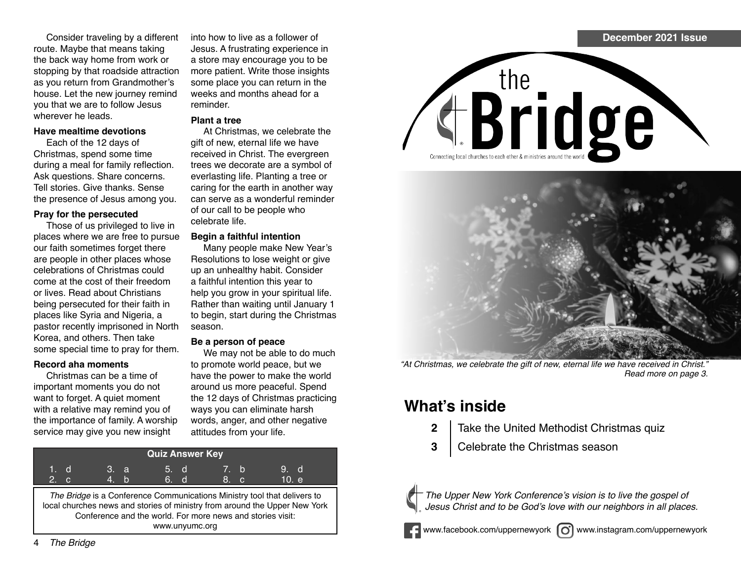Consider traveling by a different route. Maybe that means taking the back way home from work or stopping by that roadside attraction as you return from Grandmother's house. Let the new journey remind you that we are to follow Jesus wherever he leads.

#### **Have mealtime devotions**

Each of the 12 days of Christmas, spend some time during a meal for family reflection. Ask questions. Share concerns. Tell stories. Give thanks. Sense the presence of Jesus among you.

### **Pray for the persecuted**

Those of us privileged to live in places where we are free to pursue our faith sometimes forget there are people in other places whose celebrations of Christmas could come at the cost of their freedom or lives. Read about Christians being persecuted for their faith in places like Syria and Nigeria, a pastor recently imprisoned in North Korea, and others. Then take some special time to pray for them.

### **Record aha moments**

Christmas can be a time of important moments you do not want to forget. A quiet moment with a relative may remind you of the importance of family. A worship service may give you new insight

into how to live as a follower of Jesus. A frustrating experience in a store may encourage you to be more patient. Write those insights some place you can return in the weeks and months ahead for a reminder.

### **Plant a tree**

At Christmas, we celebrate the gift of new, eternal life we have received in Christ. The evergreen trees we decorate are a symbol of everlasting life. Planting a tree or caring for the earth in another way can serve as a wonderful reminder of our call to be people who celebrate life.

### **Begin a faithful intention**

Many people make New Year's Resolutions to lose weight or give up an unhealthy habit. Consider a faithful intention this year to help you grow in your spiritual life. Rather than waiting until January 1 to begin, start during the Christmas season.

### **Be a person of peace**

We may not be able to do much to promote world peace, but we have the power to make the world around us more peaceful. Spend the 12 days of Christmas practicing ways you can eliminate harsh words, anger, and other negative attitudes from your life.

| <b>Quiz Answer Key</b>                                                                                                                                                                                                                 |  |       |  |  |      |      |      |       |
|----------------------------------------------------------------------------------------------------------------------------------------------------------------------------------------------------------------------------------------|--|-------|--|--|------|------|------|-------|
| 1. d                                                                                                                                                                                                                                   |  | 'З. а |  |  | 5. d | 7. b |      | 9. d  |
| 2. c                                                                                                                                                                                                                                   |  | 4. h  |  |  | 6. d |      | 8. c | 10. e |
| The Bridge is a Conference Communications Ministry tool that delivers to<br>local churches news and stories of ministry from around the Upper New York<br>Conference and the world. For more news and stories visit:<br>www.unyumc.org |  |       |  |  |      |      |      |       |







*"*At Christmas, we celebrate the gift of new, eternal life we have received in Christ.*"*  Read more on page 3.

# **What's inside**

- **2** Take the United Methodist Christmas quiz
- **3** | Celebrate the Christmas season



The Upper New York Conference's vision is to live the gospel of Jesus Christ and to be God's love with our neighbors in all places.



www.facebook.com/uppernewyork (c) www.instagram.com/uppernewyork